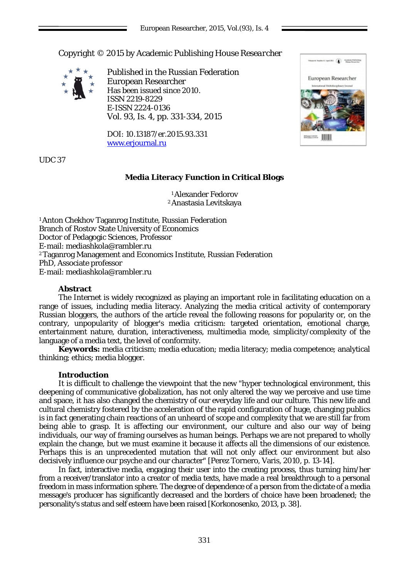Copyright © 2015 by Academic Publishing House *Researcher*



Published in the Russian Federation European Researcher Has been issued since 2010. ISSN 2219-8229 E-ISSN 2224-0136 Vol. 93, Is. 4, pp. 331-334, 2015

DOI: 10.13187/er.2015.93.331 [www.erjournal.ru](http://www.erjournal.ru/)



UDC 37

# **Media Literacy Function in Critical Blogs**

1 Alexander Fedorov 2 Anastasia Levitskaya

1 Anton Chekhov Taganrog Institute, Russian Federation Branch of Rostov State University of Economics Doctor of Pedagogic Sciences, Professor E-mail: mediashkola@rambler.ru 2 Taganrog Management and Economics Institute, Russian Federation PhD, Associate professor E-mail: mediashkola@rambler.ru

## **Abstract**

The Internet is widely recognized as playing an important role in facilitating education on a range of issues, including media literacy. Analyzing the media critical activity of contemporary Russian bloggers, the authors of the article reveal the following reasons for popularity or, on the contrary, unpopularity of blogger's media criticism: targeted orientation, emotional charge, entertainment nature, duration, interactiveness, multimedia mode, simplicity/complexity of the language of a media text, the level of conformity.

**Keywords:** media criticism; media education; media literacy; media competence; analytical thinking; ethics; media blogger.

## **Introduction**

It is difficult to challenge the viewpoint that the new "hyper technological environment, this deepening of communicative globalization, has not only altered the way we perceive and use time and space, it has also changed the chemistry of our everyday life and our culture. This new life and cultural chemistry fostered by the acceleration of the rapid configuration of huge, changing publics is in fact generating chain reactions of an unheard of scope and complexity that we are still far from being able to grasp. It is affecting our environment, our culture and also our way of being individuals, our way of framing ourselves as human beings. Perhaps we are not prepared to wholly explain the change, but we must examine it because it affects all the dimensions of our existence. Perhaps this is an unprecedented mutation that will not only affect our environment but also decisively influence our psyche and our character" [Perez Tornero, Varis, 2010, p. 13-14].

In fact, interactive media, engaging their user into the creating process, thus turning him/her from a receiver/translator into a creator of media texts, have made a real breakthrough to a personal freedom in mass information sphere. The degree of dependence of a person from the dictate of a media message's producer has significantly decreased and the borders of choice have been broadened; the personality's status and self esteem have been raised [Korkonosenko, 2013, p. 38].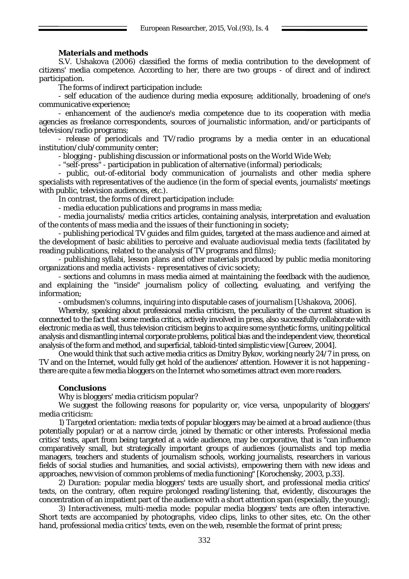### **Materials and methods**

S.V. Ushakova (2006) classified the forms of media contribution to the development of citizens' media competence. According to her, there are two groups - of direct and of indirect participation.

The forms of indirect participation include:

- self education of the audience during media exposure; additionally, broadening of one's communicative experience;

- enhancement of the audience's media competence due to its cooperation with media agencies as freelance correspondents, sources of journalistic information, and/or participants of television/radio programs;

- release of periodicals and TV/radio programs by a media center in an educational institution/club/community center;

- blogging - publishing discussion or informational posts on the World Wide Web;

- "self-press" - participation in publication of alternative (informal) periodicals;

public, out-of-editorial body communication of journalists and other media sphere specialists with representatives of the audience (in the form of special events, journalists' meetings with public, television audiences, etc.).

In contrast, the forms of direct participation include:

- media education publications and programs in mass media;

- media journalists/ media critics articles, containing analysis, interpretation and evaluation of the contents of mass media and the issues of their functioning in society;

- publishing periodical TV guides and film guides, targeted at the mass audience and aimed at the development of basic abilities to perceive and evaluate audiovisual media texts (facilitated by reading publications, related to the analysis of TV programs and films);

- publishing syllabi, lesson plans and other materials produced by public media monitoring organizations and media activists - representatives of civic society;

- sections and columns in mass media aimed at maintaining the feedback with the audience, and explaining the "inside" journalism policy of collecting, evaluating, and verifying the information;

- ombudsmen's columns, inquiring into disputable cases of journalism [Ushakova, 2006].

Whereby, speaking about professional media criticism, the peculiarity of the current situation is connected to the fact that some media critics, actively involved in press, also successfully collaborate with electronic media as well, thus television criticism begins to acquire some synthetic forms, uniting political analysis and dismantling internal corporate problems, political bias and the independent view, theoretical analysis of the form and method, and superficial, tabloid-tinted simplistic view [Gureev, 2004].

One would think that such active media critics as Dmitry Bykov, working nearly 24/7 in press, on TV and on the Internet, would fully get hold of the audiences' attention. However it is not happening there are quite a few media bloggers on the Internet who sometimes attract even more readers.

#### **Conclusions**

Why is bloggers' media criticism popular?

We suggest the following reasons for popularity or, vice versa, unpopularity of bloggers' media criticism:

1) *Targeted orientation:* media texts of popular bloggers may be aimed at a broad audience (thus potentially popular) or at a narrow circle, joined by thematic or other interests. Professional media critics' texts, apart from being targeted at a wide audience, may be corporative, that is "can influence comparatively small, but strategically important groups of audiences (journalists and top media managers, teachers and students of journalism schools, working journalists, researchers in various fields of social studies and humanities, and social activists), empowering them with new ideas and approaches, new vision of common problems of media functioning" [Korochensky, 2003, p.33].

2) *Duration:* popular media bloggers' texts are usually short, and professional media critics' texts, on the contrary, often require prolonged reading/listening, that, evidently, discourages the concentration of an impatient part of the audience with a short attention span (especially, the young);

3) *Interactiveness, multi-media mode:* popular media bloggers' texts are often interactive. Short texts are accompanied by photographs, video clips, links to other sites, etc. On the other hand, professional media critics' texts, even on the web, resemble the format of print press;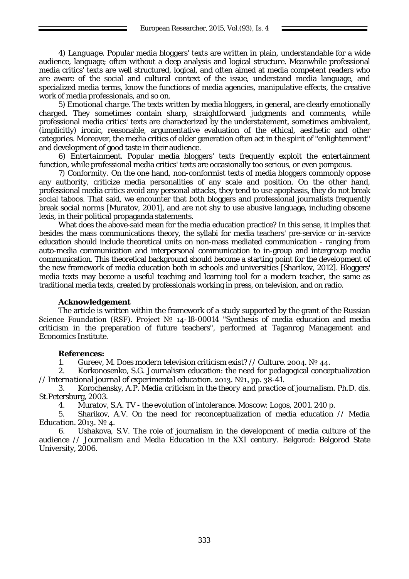4) *Language.* Popular media bloggers' texts are written in plain, understandable for a wide audience, language; often without a deep analysis and logical structure. Meanwhile professional media critics' texts are well structured, logical, and often aimed at media competent readers who are aware of the social and cultural context of the issue, understand media language, and specialized media terms, know the functions of media agencies, manipulative effects, the creative work of media professionals, and so on.

5) *Emotional charge.* The texts written by media bloggers, in general, are clearly emotionally charged. They sometimes contain sharp, straightforward judgments and comments, while professional media critics' texts are characterized by the understatement, sometimes ambivalent, (implicitly) ironic, reasonable, argumentative evaluation of the ethical, aesthetic and other categories. Moreover, the media critics of older generation often act in the spirit of "enlightenment" and development of good taste in their audience.

6) *Entertainment.* Popular media bloggers' texts frequently exploit the entertainment function, while professional media critics' texts are occasionally too serious, or even pompous.

7) *Conformity.* On the one hand, non-conformist texts of media bloggers commonly oppose any authority, criticize media personalities of any scale and position. On the other hand, professional media critics avoid any personal attacks, they tend to use apophasis, they do not break social taboos. That said, we encounter that both bloggers and professional journalists frequently break social norms [Muratov, 2001], and are not shy to use abusive language, including obscene lexis, in their political propaganda statements.

What does the above-said mean for the media education practice? In this sense, it implies that besides the mass communications theory, the syllabi for media teachers' pre-service or in-service education should include theoretical units on non-mass mediated communication - ranging from auto-media communication and interpersonal communication to in-group and intergroup media communication. This theoretical background should become a starting point for the development of the new framework of media education both in schools and universities [Sharikov, 2012]. Bloggers' media texts may become a useful teaching and learning tool for a modern teacher, the same as traditional media texts, created by professionals working in press, on television, and on radio.

### **Acknowledgement**

The article is written within the framework of a study supported by the grant of the Russian Science Foundation (RSF). Project № 14-18-00014 "Synthesis of media education and media criticism in the preparation of future teachers", performed at Taganrog Management and Economics Institute.

## **References:**

1. Gureev, M. Does modern television criticism exist? // *Culture.* 2004. № 44.

2. Korkonosenko, S.G. Journalism education: the need for pedagogical conceptualization // *International journal of experimental education.* 2013. №1, pp. 38-41.

3. Korochensky, A.P. *Media criticism in the theory and practice of journalism.* Ph.D. dis. St.Petersburg, 2003.

4. Muratov, S.A. *TV - the evolution of intolerance.* Moscow: Logos, 2001. 240 p.

5. Sharikov, A.V. On the need for reconceptualization of media education // *Media Education.* 2013. № 4.

6. Ushakova, S.V. The role of journalism in the development of media culture of the audience // *Journalism and Media Education in the XXI century.* Belgorod: Belgorod State University, 2006.